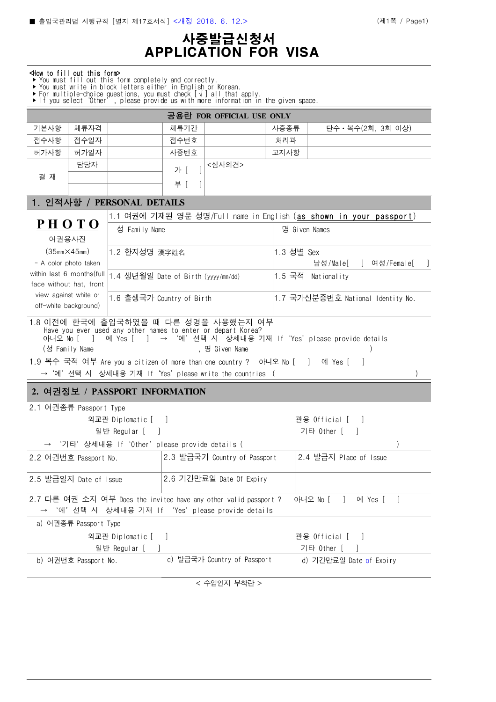# 사증발급신청서 APPLICATION FOR VISA

#### <How to fill out this form>

‣ You must fill out this form completely and correctly.

‣ You must write in block letters either in English or Korean.

‣ For multiple-choice questions, you must check [√] all that apply.  $\blacktriangleright$  If you select 'Other', please provide us with more information in the given space.

| 공용란 FOR OFFICIAL USE ONLY<br>기본사항<br>체류자격<br>단수 · 복수(2회, 3회 이상)<br>체류기간<br>사증종류<br>접수사항<br>접수일자<br>접수번호<br>처리과<br>고지사항<br>허가사항<br>허가일자<br>사증번호<br>담당자<br><심사의견><br>가 [<br>결 재<br>부 [<br>1. 인적사항 / PERSONAL DETAILS<br>1.1 여권에 기재된 영문 성명/Full name in English (as shown in your passport)<br><b>PHOTO</b><br>성 Family Name<br>명 Given Names<br>여권용사진 |    |
|-----------------------------------------------------------------------------------------------------------------------------------------------------------------------------------------------------------------------------------------------------------------------------------------------------------------------------------------------------|----|
|                                                                                                                                                                                                                                                                                                                                                     |    |
|                                                                                                                                                                                                                                                                                                                                                     |    |
|                                                                                                                                                                                                                                                                                                                                                     |    |
|                                                                                                                                                                                                                                                                                                                                                     |    |
|                                                                                                                                                                                                                                                                                                                                                     |    |
|                                                                                                                                                                                                                                                                                                                                                     |    |
|                                                                                                                                                                                                                                                                                                                                                     |    |
|                                                                                                                                                                                                                                                                                                                                                     |    |
|                                                                                                                                                                                                                                                                                                                                                     |    |
|                                                                                                                                                                                                                                                                                                                                                     |    |
|                                                                                                                                                                                                                                                                                                                                                     |    |
| (35 <sub>mm</sub> ×45 <sub>mm</sub> )<br>1.2 한자성명 漢字姓名<br>1.3 성별 Sex                                                                                                                                                                                                                                                                                |    |
| 남성/Male[ ] 여성/Female[<br>- A color photo taken                                                                                                                                                                                                                                                                                                      |    |
| within last 6 months (full<br>1.4 생년월일 Date of Birth (yyyy/mm/dd)<br>1.5 국적 Nationality                                                                                                                                                                                                                                                             |    |
| face without hat, front<br>view against white or                                                                                                                                                                                                                                                                                                    |    |
| 1.6 출생국가 Country of Birth<br>1.7 국가신분증번호 National Identity No.<br>off-white background)                                                                                                                                                                                                                                                             |    |
| 아니오 No [ ] 예 Yes [ ] → '예' 선택 시 상세내용 기재 If 'Yes' please provide details<br>(성 Family Name<br>, 명 Given Name<br>1.9 복수 국적 여부 Are you a citizen of more than one country ? 아니오 No [ ] 예 Yes [<br>→ '예'선택 시 상세내용 기재 If 'Yes' please write the countries (                                                                                              |    |
| 2. 여권정보 / PASSPORT INFORMATION                                                                                                                                                                                                                                                                                                                      |    |
| 2.1 여권종류 Passport Type                                                                                                                                                                                                                                                                                                                              |    |
| 외교관 Diplomatic [ ]<br>관용 Official [ ]                                                                                                                                                                                                                                                                                                               |    |
| 일반 Regular [ ]<br>기타 Other [ ]                                                                                                                                                                                                                                                                                                                      |    |
| '기타'상세내용 If'Other'please provide details (                                                                                                                                                                                                                                                                                                          |    |
| 2.4 발급지 Place of Issue<br>2.3 발급국가 Country of Passport<br>2.2 여권번호 Passport No.                                                                                                                                                                                                                                                                     |    |
|                                                                                                                                                                                                                                                                                                                                                     |    |
| 2.6 기간만료일 Date Of Expiry<br>2.5 발급일자 Date of Issue                                                                                                                                                                                                                                                                                                  |    |
| 2.7 다른 여권 소지 여부 Does the invitee have any other valid passport ?<br>아니오 No [<br>예 Yes [<br>$\mathbf{L}$<br>'예'선택 시 상세내용 기재 If 'Yes'please provide details                                                                                                                                                                                           | -1 |
| a) 여권종류 Passport Type                                                                                                                                                                                                                                                                                                                               |    |
| 외교관 Diplomatic [ ]<br>관용 Official [                                                                                                                                                                                                                                                                                                                 |    |
| 기타 Other [<br>일반 Regular [                                                                                                                                                                                                                                                                                                                          |    |
| c) 발급국가 Country of Passport<br>d) 기간만료일 Date of Expiry<br>b) 여권번호 Passport No.                                                                                                                                                                                                                                                                      |    |

< 수입인지 부착란 >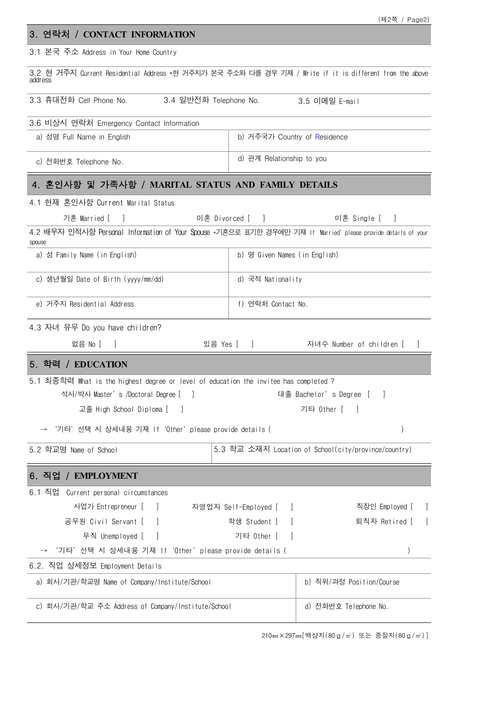| 3. 연락처 / CONTACT INFORMATION                                                          |                                                                                                               |  |  |  |
|---------------------------------------------------------------------------------------|---------------------------------------------------------------------------------------------------------------|--|--|--|
| 3.1 본국 주소 Address in Your Home Country                                                |                                                                                                               |  |  |  |
| address                                                                               | 3.2 현 거주지 Current Residential Address *현 거주지가 본국 주소와 다를 경우 기재 / Write if it is different from the above       |  |  |  |
| 3.3 휴대전화 Cell Phone No. 3.4 일반전화 Telephone No. 3.5 이메일 E-mail                         |                                                                                                               |  |  |  |
| 3.6 비상시 연락처 Emergency Contact Information                                             |                                                                                                               |  |  |  |
| a) 성명 Full Name in English                                                            | b) 거주국가 Country of Residence                                                                                  |  |  |  |
| c) 전화번호 Telephone No.                                                                 | d) 관계 Relationship to you                                                                                     |  |  |  |
| 4. 혼인사항 및 가족사항 / MARITAL STATUS AND FAMILY DETAILS                                    |                                                                                                               |  |  |  |
| 4.1 현재 혼인사항 Current Marital Status                                                    |                                                                                                               |  |  |  |
| 기혼 Married [<br>$\blacksquare$                                                        | 이혼 Divorced [   ]<br>미혼 Single [<br>$\blacksquare$                                                            |  |  |  |
| spouse                                                                                | 4.2 배우자 인적사항 Personal Information of Your Spouse *기혼으로 표기한 경우에만 기재 If Married' please provide details of your |  |  |  |
| a) 성 Family Name (in English)                                                         | b) 명 Given Names (in English)                                                                                 |  |  |  |
| c) 생년월일 Date of Birth (yyyy/mm/dd)                                                    | d) 국적 Nationality                                                                                             |  |  |  |
| e) 거주지 Residential Address                                                            | f) 연락처 Contact No.                                                                                            |  |  |  |
| 4.3 자녀 유무 Do you have children?                                                       |                                                                                                               |  |  |  |
| 없음 No [ ]                                                                             | 있음 Yes [ ]<br>자녀수 Number of children [                                                                        |  |  |  |
| 5. 학력 / EDUCATION                                                                     |                                                                                                               |  |  |  |
| 5.1 최종학력 What is the highest degree or level of education the invitee has completed ? |                                                                                                               |  |  |  |
| 석사/박사 Master's /Doctoral Degree [ ]                                                   | 대졸 Bachelor's Degree [                                                                                        |  |  |  |
| 고졸 High School Diploma [                                                              | 기타 Other [                                                                                                    |  |  |  |
| '기타'선택 시 상세내용 기재 If 'Other'please provide details (                                   |                                                                                                               |  |  |  |
| 5.2 학교명 Name of School                                                                | 5.3 학교 소재지 Location of School(city/province/country)                                                          |  |  |  |
| 6. 직업 / EMPLOYMENT                                                                    |                                                                                                               |  |  |  |
| 6.1 직업<br>Current personal circumstances                                              |                                                                                                               |  |  |  |
| 사업가 Entrepreneur [<br>$\blacksquare$                                                  | 직장인 Employed [<br>자영업자 Self-Employed [                                                                        |  |  |  |
| 공무원 Civil Servant [                                                                   | 학생 Student [<br>퇴직자 Retired [                                                                                 |  |  |  |
| 무직 Unemployed [<br>$\overline{\phantom{0}}$                                           | 기타 Other [                                                                                                    |  |  |  |
| '기타'선택 시 상세내용 기재 If'Other'please provide details (                                    |                                                                                                               |  |  |  |
| 6.2. 직업 상세정보 Employment Details                                                       |                                                                                                               |  |  |  |
| a) 회사/기관/학교명 Name of Company/Institute/School                                         | b) 직위/과정 Position/Course                                                                                      |  |  |  |
| c) 회사/기관/학교 주소 Address of Company/Institute/School                                    | d) 전화번호 Telephone No.                                                                                         |  |  |  |

210㎜×297㎜[백상지(80g/㎡) 또는 중질지(80g/㎡)]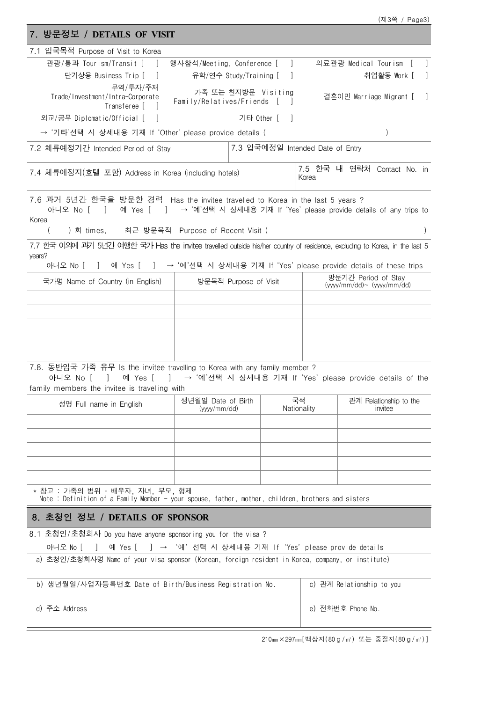|                                                                                                                                            |                                                   |                                      |             |                                                                             | (제3쪽 / Page3)           |  |
|--------------------------------------------------------------------------------------------------------------------------------------------|---------------------------------------------------|--------------------------------------|-------------|-----------------------------------------------------------------------------|-------------------------|--|
| 7. 방문정보 / DETAILS OF VISIT                                                                                                                 |                                                   |                                      |             |                                                                             |                         |  |
| 7.1 입국목적 Purpose of Visit to Korea                                                                                                         |                                                   |                                      |             |                                                                             |                         |  |
| 관광/통과 Tourism/Transit [<br>$\sim$ 1.                                                                                                       | 행사참석/Meeting, Conference [ ]                      |                                      |             |                                                                             | 의료관광 Medical Tourism [  |  |
| 단기상용 Business Trip [ ]                                                                                                                     |                                                   | 유학/연수 Study/Training [               |             |                                                                             | 취업활동 Work [             |  |
| 무역/투자/주재<br>Trade/Investment/Intra-Corporate<br>Transferee [                                                                               | 가족 또는 친지방문 Visiting<br>Family/Relatives/Friends [ |                                      |             |                                                                             | 결혼이민 Marriage Migrant [ |  |
| 외교/공무 Diplomatic/Official [                                                                                                                |                                                   | 기타 Other [ ]                         |             |                                                                             |                         |  |
| → '기타'선택 시 상세내용 기재 If 'Other' please provide details (                                                                                     |                                                   |                                      |             |                                                                             |                         |  |
| 7.2 체류예정기간 Intended Period of Stay                                                                                                         |                                                   |                                      |             | 7.3 입국예정일 Intended Date of Entry                                            |                         |  |
| 7.4 체류예정지(호텔 포함) Address in Korea (including hotels)                                                                                       |                                                   | 7.5 한국 내 연락처 Contact No. in<br>Korea |             |                                                                             |                         |  |
| 7.6 과거 5년간 한국을 방문한 경력 Has the invitee travelled to Korea in the last 5 years ?<br>아니오 No [<br>$\sim$ 1.                                    |                                                   |                                      |             | 예 Yes [ ] → '예'선택 시 상세내용 기재 If 'Yes' please provide details of any trips to |                         |  |
| Korea<br>) 회 times.                                                                                                                        | 최근 방문목적 Purpose of Recent Visit (                 |                                      |             |                                                                             |                         |  |
| 7.7 한국 이외에 괴거 5년간 여행한 국가 Has the invitee travelled outside his/her country of residence, excluding to Korea, in the last 5<br>years?       |                                                   |                                      |             |                                                                             |                         |  |
| ] 예 Yes [ ] → '예'선택 시 상세내용 기재 If 'Yes' please provide details of these trips<br>아니오 No [                                                   |                                                   |                                      |             |                                                                             |                         |  |
| 국가명 Name of Country (in English)                                                                                                           |                                                   | 방문목적 Purpose of Visit                |             | 방문기간 Period of Stay<br>$(yyyy/mm/dd) \sim (yyyy/mm/dd)$                     |                         |  |
|                                                                                                                                            |                                                   |                                      |             |                                                                             |                         |  |
|                                                                                                                                            |                                                   |                                      |             |                                                                             |                         |  |
|                                                                                                                                            |                                                   |                                      |             |                                                                             |                         |  |
|                                                                                                                                            |                                                   |                                      |             |                                                                             |                         |  |
| 7.8. 동반입국 가족 유무 Is the invitee travelling to Korea with any family member ?<br>아니오 No [ ]<br>family members the invitee is travelling with |                                                   |                                      |             | 예 Yes [ ] → '예'선택 시 상세내용 기재 If 'Yes' please provide details of the          |                         |  |
|                                                                                                                                            | 생년월일 Date of Birth                                |                                      | 국적          |                                                                             | 관계 Relationship to the  |  |
| 성명 Full name in English                                                                                                                    | (yyy/mm/dd)                                       |                                      | Nationality |                                                                             | invitee                 |  |
|                                                                                                                                            |                                                   |                                      |             |                                                                             |                         |  |
|                                                                                                                                            |                                                   |                                      |             |                                                                             |                         |  |
|                                                                                                                                            |                                                   |                                      |             |                                                                             |                         |  |
|                                                                                                                                            |                                                   |                                      |             |                                                                             |                         |  |
|                                                                                                                                            |                                                   |                                      |             |                                                                             |                         |  |
| * 참고 : 가족의 범위 - 배우자, 자녀, 부모, 형제<br>Note : Definition of a Family Member - your spouse, father, mother, children, brothers and sisters      |                                                   |                                      |             |                                                                             |                         |  |
| 8. 초청인 정보 / DETAILS OF SPONSOR                                                                                                             |                                                   |                                      |             |                                                                             |                         |  |
| 8.1 초청인/초청회사 Do you have anyone sponsoring you for the visa ?                                                                              |                                                   |                                      |             |                                                                             |                         |  |
| 아니오 No [<br>예 Yes [<br>$\mathbf{1}$                                                                                                        |                                                   |                                      |             | ] → '예' 선택 시 상세내용 기재 If 'Yes' please provide details                        |                         |  |
| a) 초청인/초청회사명 Name of your visa sponsor (Korean, foreign resident in Korea, company, or institute)                                          |                                                   |                                      |             |                                                                             |                         |  |
| b) 생년월일/사업자등록번호 Date of Birth/Business Registration No.<br>c) 관계 Relationship to you                                                       |                                                   |                                      |             |                                                                             |                         |  |
| d) 주소 Address                                                                                                                              |                                                   |                                      |             | e) 전화번호 Phone No.                                                           |                         |  |
|                                                                                                                                            |                                                   |                                      |             |                                                                             |                         |  |

210㎜×297㎜[백상지(80g/㎡) 또는 중질지(80g/㎡)]